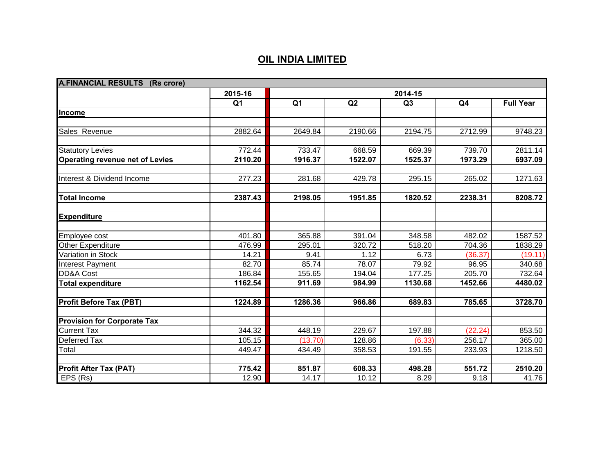| <b>A.FINANCIAL RESULTS (Rs crore)</b>  |                |                |                    |                |         |                  |
|----------------------------------------|----------------|----------------|--------------------|----------------|---------|------------------|
|                                        | 2015-16        | 2014-15        |                    |                |         |                  |
|                                        | Q <sub>1</sub> | Q <sub>1</sub> | Q2                 | Q <sub>3</sub> | Q4      | <b>Full Year</b> |
| Income                                 |                |                |                    |                |         |                  |
|                                        |                |                |                    |                |         |                  |
| Sales Revenue                          | 2882.64        | 2649.84        | 2190.66            | 2194.75        | 2712.99 | 9748.23          |
|                                        |                |                |                    |                |         |                  |
| <b>Statutory Levies</b>                | 772.44         | 733.47         | 668.59             | 669.39         | 739.70  | 2811.14          |
| <b>Operating revenue net of Levies</b> | 2110.20        | 1916.37        | 1522.07            | 1525.37        | 1973.29 | 6937.09          |
| Interest & Dividend Income             | 277.23         | 281.68         | 429.78             | 295.15         | 265.02  | 1271.63          |
| <b>Total Income</b>                    | 2387.43        | 2198.05        | 1951.85            | 1820.52        | 2238.31 | 8208.72          |
| <b>Expenditure</b>                     |                |                |                    |                |         |                  |
| Employee cost                          | 401.80         | 365.88         | 391.04             | 348.58         | 482.02  | 1587.52          |
| Other Expenditure                      | 476.99         | 295.01         | 320.72             | 518.20         | 704.36  | 1838.29          |
| Variation in Stock                     | 14.21          | 9.41           | 1.12               | 6.73           | (36.37) | (19.11)          |
| Interest Payment                       | 82.70          | 85.74          | $\overline{78.07}$ | 79.92          | 96.95   | 340.68           |
| <b>DD&amp;A Cost</b>                   | 186.84         | 155.65         | 194.04             | 177.25         | 205.70  | 732.64           |
| <b>Total expenditure</b>               | 1162.54        | 911.69         | 984.99             | 1130.68        | 1452.66 | 4480.02          |
| <b>Profit Before Tax (PBT)</b>         | 1224.89        | 1286.36        | 966.86             | 689.83         | 785.65  | 3728.70          |
| <b>Provision for Corporate Tax</b>     |                |                |                    |                |         |                  |
| <b>Current Tax</b>                     | 344.32         | 448.19         | 229.67             | 197.88         | (22.24) | 853.50           |
| Deferred Tax                           | 105.15         | (13.70)        | 128.86             | (6.33)         | 256.17  | 365.00           |
| Total                                  | 449.47         | 434.49         | 358.53             | 191.55         | 233.93  | 1218.50          |
|                                        |                |                |                    |                |         |                  |
| <b>Profit After Tax (PAT)</b>          | 775.42         | 851.87         | 608.33             | 498.28         | 551.72  | 2510.20          |
| EPS (Rs)                               | 12.90          | 14.17          | 10.12              | 8.29           | 9.18    | 41.76            |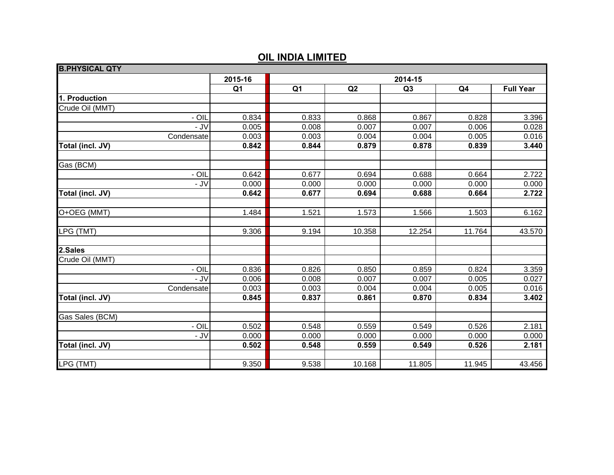| <b>B.PHYSICAL QTY</b> |                |                |         |        |                |                  |
|-----------------------|----------------|----------------|---------|--------|----------------|------------------|
|                       | 2015-16        |                | 2014-15 |        |                |                  |
|                       | Q <sub>1</sub> | Q <sub>1</sub> | Q2      | Q3     | Q <sub>4</sub> | <b>Full Year</b> |
| 1. Production         |                |                |         |        |                |                  |
| Crude Oil (MMT)       |                |                |         |        |                |                  |
| $-$ OIL               | 0.834          | 0.833          | 0.868   | 0.867  | 0.828          | 3.396            |
| - JV                  | 0.005          | 0.008          | 0.007   | 0.007  | 0.006          | 0.028            |
| Condensate            | 0.003          | 0.003          | 0.004   | 0.004  | 0.005          | 0.016            |
| Total (incl. JV)      | 0.842          | 0.844          | 0.879   | 0.878  | 0.839          | 3.440            |
| Gas (BCM)             |                |                |         |        |                |                  |
| $-$ OIL               | 0.642          | 0.677          | 0.694   | 0.688  | 0.664          | 2.722            |
| $-JV$                 | 0.000          | 0.000          | 0.000   | 0.000  | 0.000          | 0.000            |
| Total (incl. JV)      | 0.642          | 0.677          | 0.694   | 0.688  | 0.664          | 2.722            |
|                       |                |                |         |        |                |                  |
| O+OEG (MMT)           | 1.484          | 1.521          | 1.573   | 1.566  | 1.503          | 6.162            |
| LPG (TMT)             | 9.306          | 9.194          | 10.358  | 12.254 | 11.764         | 43.570           |
| 2.Sales               |                |                |         |        |                |                  |
| Crude Oil (MMT)       |                |                |         |        |                |                  |
| - OIL                 | 0.836          | 0.826          | 0.850   | 0.859  | 0.824          | 3.359            |
| $-JV$                 | 0.006          | 0.008          | 0.007   | 0.007  | 0.005          | 0.027            |
| Condensate            | 0.003          | 0.003          | 0.004   | 0.004  | 0.005          | 0.016            |
| Total (incl. JV)      | 0.845          | 0.837          | 0.861   | 0.870  | 0.834          | 3.402            |
| Gas Sales (BCM)       |                |                |         |        |                |                  |
| - OIL                 | 0.502          | 0.548          | 0.559   | 0.549  | 0.526          | 2.181            |
| $-JV$                 | 0.000          | 0.000          | 0.000   | 0.000  | 0.000          | 0.000            |
| Total (incl. JV)      | 0.502          | 0.548          | 0.559   | 0.549  | 0.526          | 2.181            |
|                       |                |                |         |        |                |                  |
| LPG (TMT)             | 9.350          | 9.538          | 10.168  | 11.805 | 11.945         | 43.456           |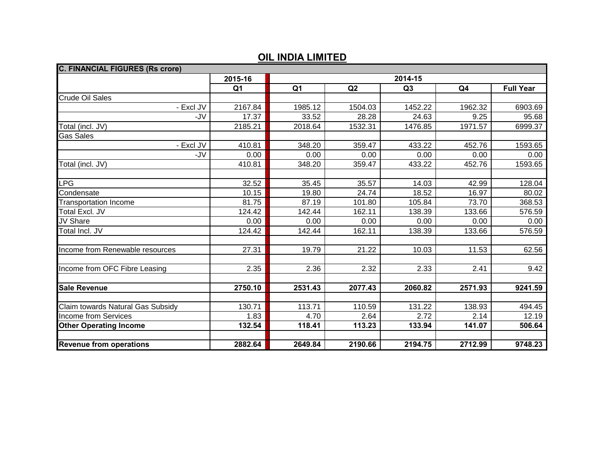| <b>C. FINANCIAL FIGURES (Rs crore)</b> |                |                |         |         |                |                  |  |
|----------------------------------------|----------------|----------------|---------|---------|----------------|------------------|--|
|                                        | 2015-16        | 2014-15        |         |         |                |                  |  |
|                                        | Q <sub>1</sub> | Q <sub>1</sub> | Q2      | Q3      | Q <sub>4</sub> | <b>Full Year</b> |  |
| <b>Crude Oil Sales</b>                 |                |                |         |         |                |                  |  |
| - Excl JV                              | 2167.84        | 1985.12        | 1504.03 | 1452.22 | 1962.32        | 6903.69          |  |
| -JV                                    | 17.37          | 33.52          | 28.28   | 24.63   | 9.25           | 95.68            |  |
| Total (incl. JV)                       | 2185.21        | 2018.64        | 1532.31 | 1476.85 | 1971.57        | 6999.37          |  |
| Gas Sales                              |                |                |         |         |                |                  |  |
| - Excl JV                              | 410.81         | 348.20         | 359.47  | 433.22  | 452.76         | 1593.65          |  |
| -JV                                    | 0.00           | 0.00           | 0.00    | 0.00    | 0.00           | 0.00             |  |
| Total (incl. JV)                       | 410.81         | 348.20         | 359.47  | 433.22  | 452.76         | 1593.65          |  |
|                                        |                |                |         |         |                |                  |  |
| <b>LPG</b>                             | 32.52          | 35.45          | 35.57   | 14.03   | 42.99          | 128.04           |  |
| Condensate                             | 10.15          | 19.80          | 24.74   | 18.52   | 16.97          | 80.02            |  |
| <b>Transportation Income</b>           | 81.75          | 87.19          | 101.80  | 105.84  | 73.70          | 368.53           |  |
| Total Excl. JV                         | 124.42         | 142.44         | 162.11  | 138.39  | 133.66         | 576.59           |  |
| JV Share                               | 0.00           | 0.00           | 0.00    | 0.00    | 0.00           | 0.00             |  |
| Total Incl. JV                         | 124.42         | 142.44         | 162.11  | 138.39  | 133.66         | 576.59           |  |
|                                        |                |                |         |         |                |                  |  |
| Income from Renewable resources        | 27.31          | 19.79          | 21.22   | 10.03   | 11.53          | 62.56            |  |
|                                        |                |                |         |         |                |                  |  |
| Income from OFC Fibre Leasing          | 2.35           | 2.36           | 2.32    | 2.33    | 2.41           | 9.42             |  |
|                                        |                |                |         |         |                |                  |  |
| <b>Sale Revenue</b>                    | 2750.10        | 2531.43        | 2077.43 | 2060.82 | 2571.93        | 9241.59          |  |
|                                        |                |                |         |         |                |                  |  |
| Claim towards Natural Gas Subsidy      | 130.71         | 113.71         | 110.59  | 131.22  | 138.93         | 494.45           |  |
| Income from Services                   | 1.83           | 4.70           | 2.64    | 2.72    | 2.14           | 12.19            |  |
| <b>Other Operating Income</b>          | 132.54         | 118.41         | 113.23  | 133.94  | 141.07         | 506.64           |  |
|                                        |                |                |         |         |                |                  |  |
| <b>Revenue from operations</b>         | 2882.64        | 2649.84        | 2190.66 | 2194.75 | 2712.99        | 9748.23          |  |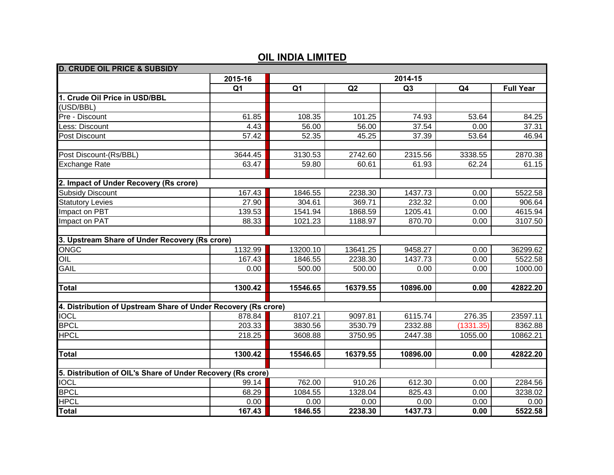| <b>D. CRUDE OIL PRICE &amp; SUBSIDY</b>                        |                |                |          |          |                |                  |
|----------------------------------------------------------------|----------------|----------------|----------|----------|----------------|------------------|
|                                                                | 2015-16        |                | 2014-15  |          |                |                  |
|                                                                | Q <sub>1</sub> | Q <sub>1</sub> | Q2       | Q3       | Q <sub>4</sub> | <b>Full Year</b> |
| 1. Crude Oil Price in USD/BBL                                  |                |                |          |          |                |                  |
| (USD/BBL)                                                      |                |                |          |          |                |                  |
| Pre - Discount                                                 | 61.85          | 108.35         | 101.25   | 74.93    | 53.64          | 84.25            |
| Less: Discount                                                 | 4.43           | 56.00          | 56.00    | 37.54    | 0.00           | 37.31            |
| Post Discount                                                  | 57.42          | 52.35          | 45.25    | 37.39    | 53.64          | 46.94            |
|                                                                |                |                |          |          |                |                  |
| Post Discount-(Rs/BBL)                                         | 3644.45        | 3130.53        | 2742.60  | 2315.56  | 3338.55        | 2870.38          |
| <b>Exchange Rate</b>                                           | 63.47          | 59.80          | 60.61    | 61.93    | 62.24          | 61.15            |
|                                                                |                |                |          |          |                |                  |
| 2. Impact of Under Recovery (Rs crore)                         |                |                |          |          |                |                  |
| <b>Subsidy Discount</b>                                        | 167.43         | 1846.55        | 2238.30  | 1437.73  | 0.00           | 5522.58          |
| <b>Statutory Levies</b>                                        | 27.90          | 304.61         | 369.71   | 232.32   | 0.00           | 906.64           |
| Impact on PBT                                                  | 139.53         | 1541.94        | 1868.59  | 1205.41  | 0.00           | 4615.94          |
| Impact on PAT                                                  | 88.33          | 1021.23        | 1188.97  | 870.70   | 0.00           | 3107.50          |
|                                                                |                |                |          |          |                |                  |
| 3. Upstream Share of Under Recovery (Rs crore)                 |                |                |          |          |                |                  |
| ONGC                                                           | 1132.99        | 13200.10       | 13641.25 | 9458.27  | 0.00           | 36299.62         |
| OIL                                                            | 167.43         | 1846.55        | 2238.30  | 1437.73  | 0.00           | 5522.58          |
| <b>GAIL</b>                                                    | 0.00           | 500.00         | 500.00   | 0.00     | 0.00           | 1000.00          |
|                                                                |                |                |          |          |                |                  |
| <b>Total</b>                                                   | 1300.42        | 15546.65       | 16379.55 | 10896.00 | 0.00           | 42822.20         |
|                                                                |                |                |          |          |                |                  |
| 4. Distribution of Upstream Share of Under Recovery (Rs crore) |                |                |          |          |                |                  |
| <b>IOCL</b>                                                    | 878.84         | 8107.21        | 9097.81  | 6115.74  | 276.35         | 23597.11         |
| <b>BPCL</b>                                                    | 203.33         | 3830.56        | 3530.79  | 2332.88  | (1331.35)      | 8362.88          |
| <b>HPCL</b>                                                    | 218.25         | 3608.88        | 3750.95  | 2447.38  | 1055.00        | 10862.21         |
|                                                                |                |                |          |          |                |                  |
| <b>Total</b>                                                   | 1300.42        | 15546.65       | 16379.55 | 10896.00 | 0.00           | 42822.20         |
|                                                                |                |                |          |          |                |                  |
| 5. Distribution of OIL's Share of Under Recovery (Rs crore)    |                |                |          |          |                |                  |
| <b>IOCL</b>                                                    | 99.14          | 762.00         | 910.26   | 612.30   | 0.00           | 2284.56          |
| <b>BPCL</b>                                                    | 68.29          | 1084.55        | 1328.04  | 825.43   | 0.00           | 3238.02          |
| <b>HPCL</b>                                                    | 0.00           | 0.00           | 0.00     | 0.00     | 0.00           | 0.00             |
| <b>Total</b>                                                   | 167.43         | 1846.55        | 2238.30  | 1437.73  | 0.00           | 5522.58          |